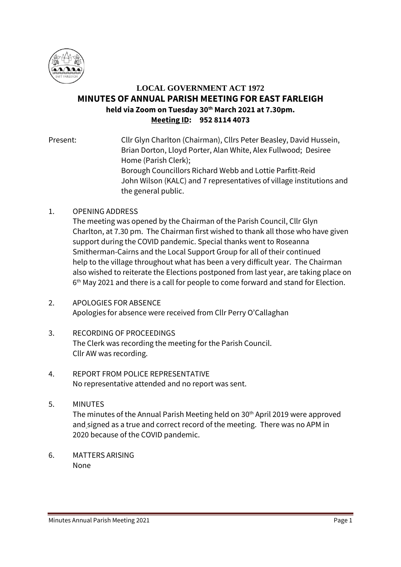

# **LOCAL GOVERNMENT ACT 1972 MINUTES OF ANNUAL PARISH MEETING FOR EAST FARLEIGH held via Zoom on Tuesday 30th March 2021 at 7.30pm. Meeting ID: 952 8114 4073**

Present: Cllr Glyn Charlton (Chairman), Cllrs Peter Beasley, David Hussein, Brian Dorton, Lloyd Porter, Alan White, Alex Fullwood; Desiree Home (Parish Clerk); Borough Councillors Richard Webb and Lottie Parfitt-Reid John Wilson (KALC) and 7 representatives of village institutions and the general public.

# 1. OPENING ADDRESS

The meeting was opened by the Chairman of the Parish Council, Cllr Glyn Charlton, at 7.30 pm. The Chairman first wished to thank all those who have given support during the COVID pandemic. Special thanks went to Roseanna Smitherman-Cairns and the Local Support Group for all of their continued help to the village throughout what has been a very difficult year. The Chairman also wished to reiterate the Elections postponed from last year, are taking place on 6<sup>th</sup> May 2021 and there is a call for people to come forward and stand for Election.

- 2. APOLOGIES FOR ABSENCE Apologies for absence were received from Cllr Perry O'Callaghan
- 3. RECORDING OF PROCEEDINGS The Clerk was recording the meeting for the Parish Council. Cllr AW was recording.
- 4. REPORT FROM POLICE REPRESENTATIVE No representative attended and no report was sent.
- 5. MINUTES The minutes of the Annual Parish Meeting held on 30<sup>th</sup> April 2019 were approved and signed as a true and correct record of the meeting. There was no APM in 2020 because of the COVID pandemic.
- 6. MATTERS ARISING None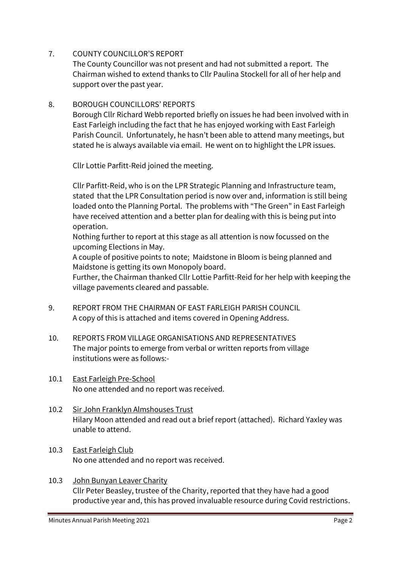# 7. COUNTY COUNCILLOR'S REPORT

The County Councillor was not present and had not submitted a report. The Chairman wished to extend thanks to Cllr Paulina Stockell for all of her help and support over the past year.

# 8. BOROUGH COUNCILLORS' REPORTS

Borough Cllr Richard Webb reported briefly on issues he had been involved with in East Farleigh including the fact that he has enjoyed working with East Farleigh Parish Council. Unfortunately, he hasn't been able to attend many meetings, but stated he is always available via email. He went on to highlight the LPR issues.

Cllr Lottie Parfitt-Reid joined the meeting.

Cllr Parfitt-Reid, who is on the LPR Strategic Planning and Infrastructure team, stated that the LPR Consultation period is now over and, information is still being loaded onto the Planning Portal. The problems with "The Green" in East Farleigh have received attention and a better plan for dealing with this is being put into operation.

Nothing further to report at this stage as all attention is now focussed on the upcoming Elections in May.

A couple of positive points to note; Maidstone in Bloom is being planned and Maidstone is getting its own Monopoly board.

Further, the Chairman thanked Cllr Lottie Parfitt-Reid for her help with keeping the village pavements cleared and passable.

- 9. REPORT FROM THE CHAIRMAN OF EAST FARLEIGH PARISH COUNCIL A copy of this is attached and items covered in Opening Address.
- 10. REPORTS FROM VILLAGE ORGANISATIONS AND REPRESENTATIVES The major points to emerge from verbal or written reports from village institutions were as follows:-
- 10.1 East Farleigh Pre-School No one attended and no report was received.
- 10.2 Sir John Franklyn Almshouses Trust Hilary Moon attended and read out a brief report (attached). Richard Yaxley was unable to attend.
- 10.3 East Farleigh Club No one attended and no report was received.
- 10.3 John Bunyan Leaver Charity Cllr Peter Beasley, trustee of the Charity, reported that they have had a good productive year and, this has proved invaluable resource during Covid restrictions.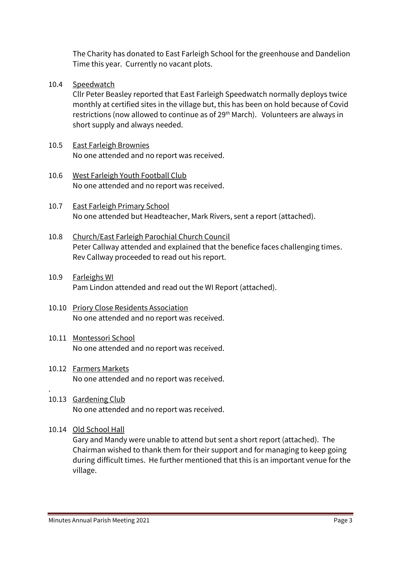The Charity has donated to East Farleigh School for the greenhouse and Dandelion Time this year. Currently no vacant plots.

10.4 Speedwatch

Cllr Peter Beasley reported that East Farleigh Speedwatch normally deploys twice monthly at certified sites in the village but, this has been on hold because of Covid restrictions (now allowed to continue as of 29th March). Volunteers are always in short supply and always needed.

- 10.5 East Farleigh Brownies No one attended and no report was received.
- 10.6 West Farleigh Youth Football Club No one attended and no report was received.
- 10.7 East Farleigh Primary School No one attended but Headteacher, Mark Rivers, sent a report (attached).
- 10.8 Church/East Farleigh Parochial Church Council Peter Callway attended and explained that the benefice faces challenging times. Rev Callway proceeded to read out his report.
- 10.9 Farleighs WI Pam Lindon attended and read out the WI Report (attached).
- 10.10 Priory Close Residents Association No one attended and no report was received.
- 10.11 Montessori School No one attended and no report was received.
- 10.12 Farmers Markets No one attended and no report was received.
- 10.13 Gardening Club No one attended and no report was received.
- 10.14 Old School Hall

.

Gary and Mandy were unable to attend but sent a short report (attached). The Chairman wished to thank them for their support and for managing to keep going during difficult times. He further mentioned that this is an important venue for the village.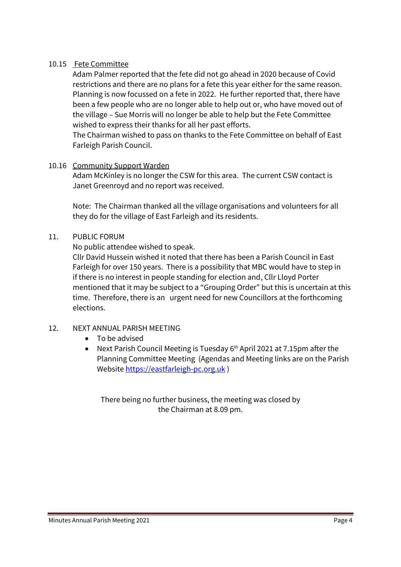## 10.15 Fete Committee

Adam Palmer reported that the fete did not go ahead in 2020 because of Covid restrictions and there are no plans for a fete this year either for the same reason. Planning is now focussed on a fete in 2022. He further reported that, there have been a few people who are no longer able to help out or, who have moved out of the village – Sue Morris will no longer be able to help but the Fete Committee wished to express their thanks for all her past efforts.

The Chairman wished to pass on thanks to the Fete Committee on behalf of East Farleigh Parish Council.

## 10.16 Community Support Warden

Adam McKinley is no longer the CSW for this area. The current CSW contact is Janet Greenroyd and no report was received.

Note: The Chairman thanked all the village organisations and volunteers for all they do for the village of East Farleigh and its residents.

## 11. PUBLIC FORUM

No public attendee wished to speak.

Cllr David Hussein wished it noted that there has been a Parish Council in East Farleigh for over 150 years. There is a possibility that MBC would have to step in if there is no interest in people standing for election and, Cllr Lloyd Porter mentioned that it may be subject to a "Grouping Order" but this is uncertain at this time. Therefore, there is an urgent need for new Councillors at the forthcoming elections.

# 12. NEXT ANNUAL PARISH MEETING

- To be advised
- Next Parish Council Meeting is Tuesday 6<sup>th</sup> April 2021 at 7.15pm after the Planning Committee Meeting (Agendas and Meeting links are on the Parish Websit[e https://eastfarleigh-pc.org.uk](https://eastfarleigh-pc.org.uk/) )

There being no further business, the meeting was closed by the Chairman at 8.09 pm.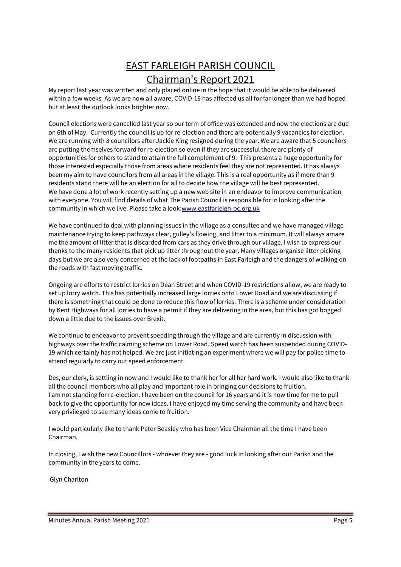# EAST FARLEIGH PARISH COUNCIL Chairman's Report 2021

My report last year was written and only placed online in the hope that it would be able to be delivered within a few weeks. As we are now all aware, COVID-19 has affected us all for far longer than we had hoped but at least the outlook looks brighter now.

Council elections were cancelled last year so our term of office was extended and now the elections are due on 6th of May. Currently the council is up for re-election and there are potentially 9 vacancies for election. We are running with 8 councilors after Jackie King resigned during the year. We are aware that 5 councilors are putting themselves forward for re-election so even if they are successful there are plenty of opportunities for others to stand to attain the full complement of 9. This presents a huge opportunity for those interested especially those from areas where residents feel they are not represented. It has always been my aim to have councilors from all areas in the village. This is a real opportunity as if more than 9 residents stand there will be an election for all to decide how the village will be best represented. We have done a lot of work recently setting up a new web site in an endeavor to improve communication with everyone. You will find details of what The Parish Council is responsible for in looking after the community in which we live. Please take a look[:www.eastfarleigh-pc.org.uk](http://www.eastfarleigh-pc.org.uk/)

We have continued to deal with planning issues in the village as a consultee and we have managed village maintenance trying to keep pathways clear, gulley's flowing, and litter to a minimum. It will always amaze me the amount of litter that is discarded from cars as they drive through our village. I wish to express our thanks to the many residents that pick up litter throughout the year. Many villages organise litter picking days but we are also very concerned at the lack of footpaths in East Farleigh and the dangers of walking on the roads with fast moving traffic.

Ongoing are efforts to restrict lorries on Dean Street and when COVID-19 restrictions allow, we are ready to set up lorry watch. This has potentially increased large lorries onto Lower Road and we are discussing if there is something that could be done to reduce this flow of lorries. There is a scheme under consideration by Kent Highways for all lorries to have a permit if they are delivering in the area, but this has got bogged down a little due to the issues over Brexit.

We continue to endeavor to prevent speeding through the village and are currently in discussion with highways over the traffic calming scheme on Lower Road. Speed watch has been suspended during COVID-19 which certainly has not helped. We are just initiating an experiment where we will pay for police time to attend regularly to carry out speed enforcement.

Des, our clerk, is settling in now and I would like to thank her for all her hard work. I would also like to thank all the council members who all play and important role in bringing our decisions to fruition. I am not standing for re-election. I have been on the council for 16 years and it is now time for me to pull back to give the opportunity for new ideas. I have enjoyed my time serving the community and have been very privileged to see many ideas come to fruition.

I would particularly like to thank Peter Beasley who has been Vice Chairman all the time I have been Chairman.

In closing, I wish the new Councillors - whoever they are - good luck in looking after our Parish and the community in the years to come.

Glyn Charlton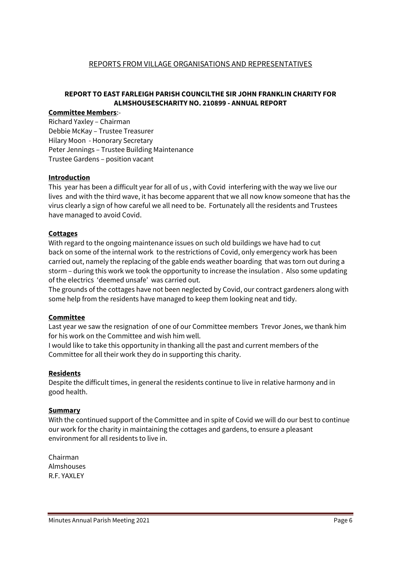#### REPORTS FROM VILLAGE ORGANISATIONS AND REPRESENTATIVES

### **REPORT TO EAST FARLEIGH PARISH COUNCILTHE SIR JOHN FRANKLIN CHARITY FOR ALMSHOUSESCHARITY NO. 210899 - ANNUAL REPORT**

#### **Committee Members**:-

Richard Yaxley – Chairman Debbie McKay – Trustee Treasurer Hilary Moon - Honorary Secretary Peter Jennings – Trustee Building Maintenance Trustee Gardens – position vacant

#### **Introduction**

This year has been a difficult year for all of us , with Covid interfering with the way we live our lives and with the third wave, it has become apparent that we all now know someone that has the virus clearly a sign of how careful we all need to be. Fortunately all the residents and Trustees have managed to avoid Covid.

#### **Cottages**

With regard to the ongoing maintenance issues on such old buildings we have had to cut back on some of the internal work to the restrictions of Covid, only emergency work has been carried out, namely the replacing of the gable ends weather boarding that was torn out during a storm – during this work we took the opportunity to increase the insulation . Also some updating of the electrics 'deemed unsafe' was carried out.

The grounds of the cottages have not been neglected by Covid, our contract gardeners along with some help from the residents have managed to keep them looking neat and tidy.

#### **Committee**

Last year we saw the resignation of one of our Committee members Trevor Jones, we thank him for his work on the Committee and wish him well.

I would like to take this opportunity in thanking all the past and current members of the Committee for all their work they do in supporting this charity.

#### **Residents**

Despite the difficult times, in general the residents continue to live in relative harmony and in good health.

#### **Summary**

With the continued support of the Committee and in spite of Covid we will do our best to continue our work for the charity in maintaining the cottages and gardens, to ensure a pleasant environment for all residents to live in.

Chairman Almshouses R.F. YAXLEY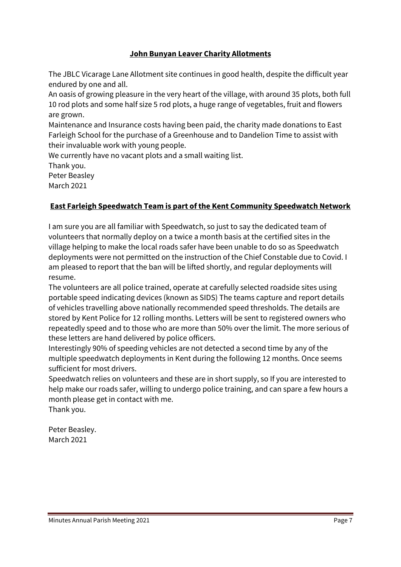# **John Bunyan Leaver Charity Allotments**

The JBLC Vicarage Lane Allotment site continues in good health, despite the difficult year endured by one and all.

An oasis of growing pleasure in the very heart of the village, with around 35 plots, both full 10 rod plots and some half size 5 rod plots, a huge range of vegetables, fruit and flowers are grown.

Maintenance and Insurance costs having been paid, the charity made donations to East Farleigh School for the purchase of a Greenhouse and to Dandelion Time to assist with their invaluable work with young people.

We currently have no vacant plots and a small waiting list. Thank you. Peter Beasley

March 2021

# **East Farleigh Speedwatch Team is part of the Kent Community Speedwatch Network**

I am sure you are all familiar with Speedwatch, so just to say the dedicated team of volunteers that normally deploy on a twice a month basis at the certified sites in the village helping to make the local roads safer have been unable to do so as Speedwatch deployments were not permitted on the instruction of the Chief Constable due to Covid. I am pleased to report that the ban will be lifted shortly, and regular deployments will resume.

The volunteers are all police trained, operate at carefully selected roadside sites using portable speed indicating devices (known as SIDS) The teams capture and report details of vehicles travelling above nationally recommended speed thresholds. The details are stored by Kent Police for 12 rolling months. Letters will be sent to registered owners who repeatedly speed and to those who are more than 50% over the limit. The more serious of these letters are hand delivered by police officers.

Interestingly 90% of speeding vehicles are not detected a second time by any of the multiple speedwatch deployments in Kent during the following 12 months. Once seems sufficient for most drivers.

Speedwatch relies on volunteers and these are in short supply, so If you are interested to help make our roads safer, willing to undergo police training, and can spare a few hours a month please get in contact with me. Thank you.

Peter Beasley. March 2021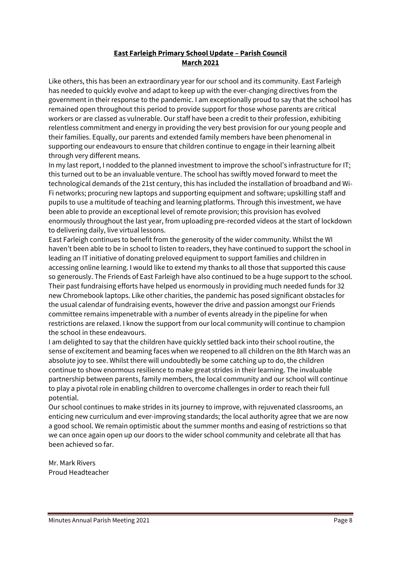## **East Farleigh Primary School Update – Parish Council March 2021**

Like others, this has been an extraordinary year for our school and its community. East Farleigh has needed to quickly evolve and adapt to keep up with the ever-changing directives from the government in their response to the pandemic. I am exceptionally proud to say that the school has remained open throughout this period to provide support for those whose parents are critical workers or are classed as vulnerable. Our staff have been a credit to their profession, exhibiting relentless commitment and energy in providing the very best provision for our young people and their families. Equally, our parents and extended family members have been phenomenal in supporting our endeavours to ensure that children continue to engage in their learning albeit through very different means.

In my last report, I nodded to the planned investment to improve the school's infrastructure for IT; this turned out to be an invaluable venture. The school has swiftly moved forward to meet the technological demands of the 21st century, this has included the installation of broadband and Wi-Fi networks; procuring new laptops and supporting equipment and software; upskilling staff and pupils to use a multitude of teaching and learning platforms. Through this investment, we have been able to provide an exceptional level of remote provision; this provision has evolved enormously throughout the last year, from uploading pre-recorded videos at the start of lockdown to delivering daily, live virtual lessons.

East Farleigh continues to benefit from the generosity of the wider community. Whilst the WI haven't been able to be in school to listen to readers, they have continued to support the school in leading an IT initiative of donating preloved equipment to support families and children in accessing online learning. I would like to extend my thanks to all those that supported this cause so generously. The Friends of East Farleigh have also continued to be a huge support to the school. Their past fundraising efforts have helped us enormously in providing much needed funds for 32 new Chromebook laptops. Like other charities, the pandemic has posed significant obstacles for the usual calendar of fundraising events, however the drive and passion amongst our Friends committee remains impenetrable with a number of events already in the pipeline for when restrictions are relaxed. I know the support from our local community will continue to champion the school in these endeavours.

I am delighted to say that the children have quickly settled back into their school routine, the sense of excitement and beaming faces when we reopened to all children on the 8th March was an absolute joy to see. Whilst there will undoubtedly be some catching up to do, the children continue to show enormous resilience to make great strides in their learning. The invaluable partnership between parents, family members, the local community and our school will continue to play a pivotal role in enabling children to overcome challenges in order to reach their full potential.

Our school continues to make strides in its journey to improve, with rejuvenated classrooms, an enticing new curriculum and ever-improving standards; the local authority agree that we are now a good school. We remain optimistic about the summer months and easing of restrictions so that we can once again open up our doors to the wider school community and celebrate all that has been achieved so far.

Mr. Mark Rivers Proud Headteacher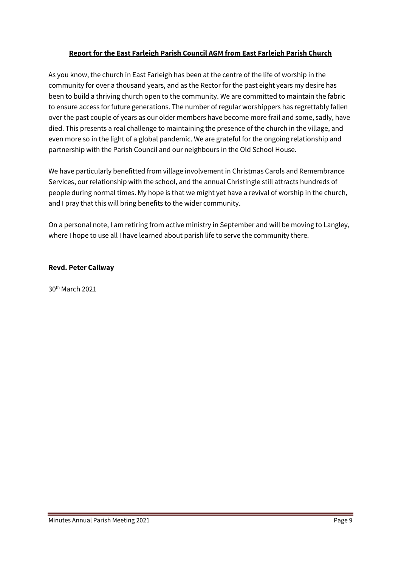## **Report for the East Farleigh Parish Council AGM from East Farleigh Parish Church**

As you know, the church in East Farleigh has been at the centre of the life of worship in the community for over a thousand years, and as the Rector for the past eight years my desire has been to build a thriving church open to the community. We are committed to maintain the fabric to ensure access for future generations. The number of regular worshippers has regrettably fallen over the past couple of years as our older members have become more frail and some, sadly, have died. This presents a real challenge to maintaining the presence of the church in the village, and even more so in the light of a global pandemic. We are grateful for the ongoing relationship and partnership with the Parish Council and our neighbours in the Old School House.

We have particularly benefitted from village involvement in Christmas Carols and Remembrance Services, our relationship with the school, and the annual Christingle still attracts hundreds of people during normal times. My hope is that we might yet have a revival of worship in the church, and I pray that this will bring benefits to the wider community.

On a personal note, I am retiring from active ministry in September and will be moving to Langley, where I hope to use all I have learned about parish life to serve the community there.

#### **Revd. Peter Callway**

30th March 2021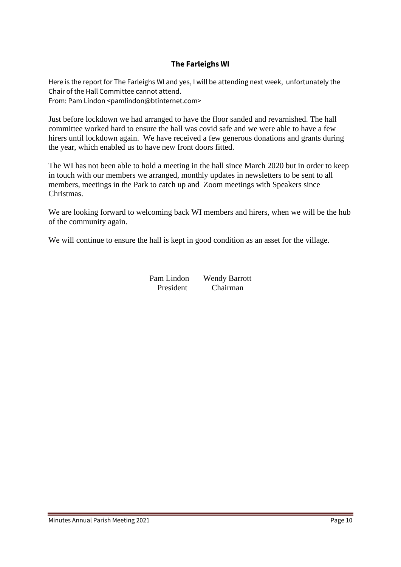## **The Farleighs WI**

Here is the report for The Farleighs WI and yes, I will be attending next week, unfortunately the Chair of the Hall Committee cannot attend. From: Pam Lindon <pamlindon@btinternet.com>

Just before lockdown we had arranged to have the floor sanded and revarnished. The hall committee worked hard to ensure the hall was covid safe and we were able to have a few hirers until lockdown again. We have received a few generous donations and grants during the year, which enabled us to have new front doors fitted.

The WI has not been able to hold a meeting in the hall since March 2020 but in order to keep in touch with our members we arranged, monthly updates in newsletters to be sent to all members, meetings in the Park to catch up and Zoom meetings with Speakers since Christmas.

We are looking forward to welcoming back WI members and hirers, when we will be the hub of the community again.

We will continue to ensure the hall is kept in good condition as an asset for the village.

Pam Lindon Wendy Barrott President Chairman